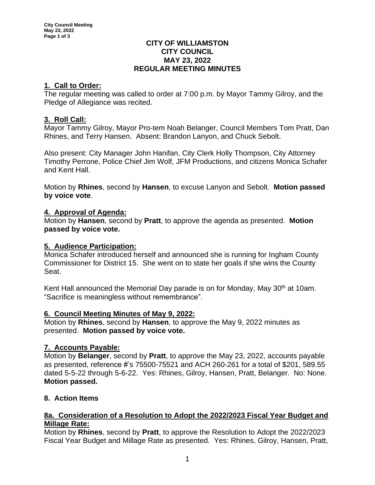### **CITY OF WILLIAMSTON CITY COUNCIL MAY 23, 2022 REGULAR MEETING MINUTES**

# **1. Call to Order:**

The regular meeting was called to order at 7:00 p.m. by Mayor Tammy Gilroy, and the Pledge of Allegiance was recited.

## **3. Roll Call:**

Mayor Tammy Gilroy, Mayor Pro-tem Noah Belanger, Council Members Tom Pratt, Dan Rhines, and Terry Hansen. Absent: Brandon Lanyon, and Chuck Sebolt.

Also present: City Manager John Hanifan, City Clerk Holly Thompson, City Attorney Timothy Perrone, Police Chief Jim Wolf, JFM Productions, and citizens Monica Schafer and Kent Hall.

Motion by **Rhines**, second by **Hansen**, to excuse Lanyon and Sebolt. **Motion passed by voice vote**.

## **4. Approval of Agenda:**

Motion by **Hansen**, second by **Pratt**, to approve the agenda as presented. **Motion passed by voice vote.**

## **5. Audience Participation:**

Monica Schafer introduced herself and announced she is running for Ingham County Commissioner for District 15. She went on to state her goals if she wins the County Seat.

Kent Hall announced the Memorial Day parade is on for Monday, May 30<sup>th</sup> at 10am. "Sacrifice is meaningless without remembrance".

### **6. Council Meeting Minutes of May 9, 2022:**

Motion by **Rhines**, second by **Hansen**, to approve the May 9, 2022 minutes as presented. **Motion passed by voice vote.**

# **7. Accounts Payable:**

Motion by **Belanger**, second by **Pratt**, to approve the May 23, 2022, accounts payable as presented, reference #'s 75500-75521 and ACH 260-261 for a total of \$201, 589.55 dated 5-5-22 through 5-6-22. Yes: Rhines, Gilroy, Hansen, Pratt, Belanger. No: None. **Motion passed.**

# **8. Action Items**

### **8a. Consideration of a Resolution to Adopt the 2022/2023 Fiscal Year Budget and Millage Rate:**

Motion by **Rhines**, second by **Pratt**, to approve the Resolution to Adopt the 2022/2023 Fiscal Year Budget and Millage Rate as presented. Yes: Rhines, Gilroy, Hansen, Pratt,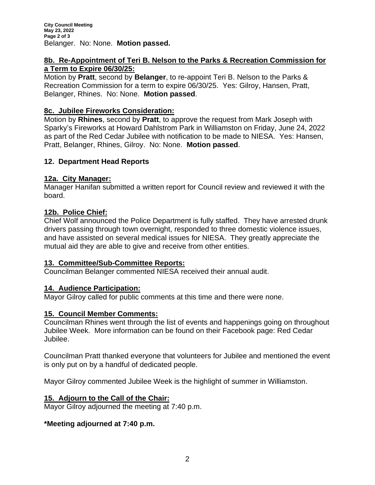### **8b. Re-Appointment of Teri B. Nelson to the Parks & Recreation Commission for a Term to Expire 06/30/25:**

Motion by **Pratt**, second by **Belanger**, to re-appoint Teri B. Nelson to the Parks & Recreation Commission for a term to expire 06/30/25. Yes: Gilroy, Hansen, Pratt, Belanger, Rhines. No: None. **Motion passed**.

# **8c. Jubilee Fireworks Consideration:**

Motion by **Rhines**, second by **Pratt**, to approve the request from Mark Joseph with Sparky's Fireworks at Howard Dahlstrom Park in Williamston on Friday, June 24, 2022 as part of the Red Cedar Jubilee with notification to be made to NIESA. Yes: Hansen, Pratt, Belanger, Rhines, Gilroy. No: None. **Motion passed**.

# **12. Department Head Reports**

## **12a. City Manager:**

Manager Hanifan submitted a written report for Council review and reviewed it with the board.

## **12b. Police Chief:**

Chief Wolf announced the Police Department is fully staffed. They have arrested drunk drivers passing through town overnight, responded to three domestic violence issues, and have assisted on several medical issues for NIESA. They greatly appreciate the mutual aid they are able to give and receive from other entities.

### **13. Committee/Sub-Committee Reports:**

Councilman Belanger commented NIESA received their annual audit.

### **14. Audience Participation:**

Mayor Gilroy called for public comments at this time and there were none.

### **15. Council Member Comments:**

Councilman Rhines went through the list of events and happenings going on throughout Jubilee Week. More information can be found on their Facebook page: Red Cedar Jubilee.

Councilman Pratt thanked everyone that volunteers for Jubilee and mentioned the event is only put on by a handful of dedicated people.

Mayor Gilroy commented Jubilee Week is the highlight of summer in Williamston.

# **15. Adjourn to the Call of the Chair:**

Mayor Gilroy adjourned the meeting at 7:40 p.m.

# **\*Meeting adjourned at 7:40 p.m.**